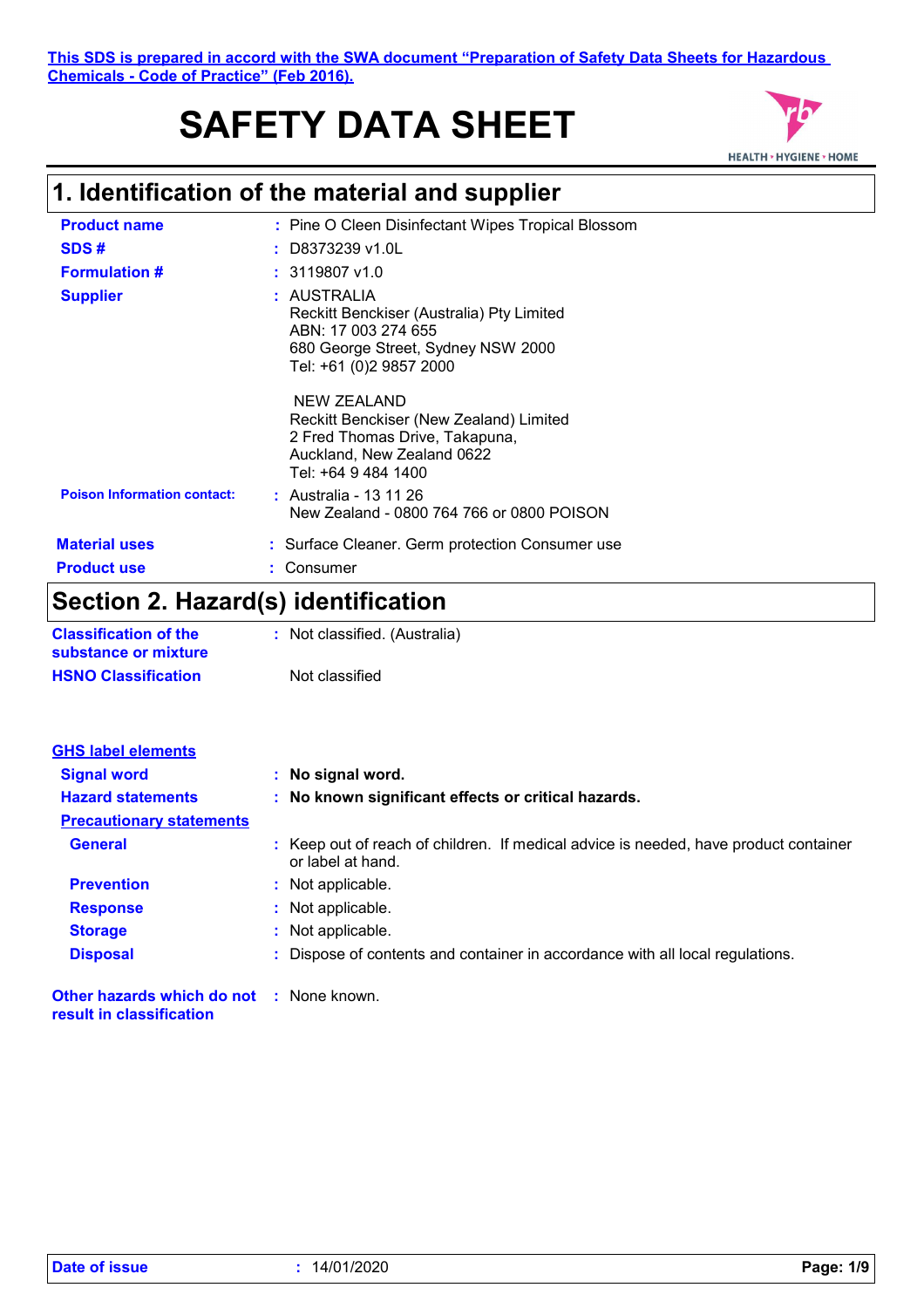#### **This SDS is prepared in accord with the SWA document "Preparation of Safety Data Sheets for Hazardous Chemicals - Code of Practice" (Feb 2016).**

# **SAFETY DATA SHEET**



# **1. Identification of the material and supplier**

| <b>Product name</b>                | : Pine O Cleen Disinfectant Wipes Tropical Blossom                                                                                               |
|------------------------------------|--------------------------------------------------------------------------------------------------------------------------------------------------|
| SDS#                               | $:$ D8373239 v1.0L                                                                                                                               |
| <b>Formulation #</b>               | $: 3119807$ v1.0                                                                                                                                 |
| <b>Supplier</b>                    | : AUSTRALIA<br>Reckitt Benckiser (Australia) Pty Limited<br>ABN: 17 003 274 655<br>680 George Street, Sydney NSW 2000<br>Tel: +61 (0)2 9857 2000 |
|                                    | NEW ZEALAND<br>Reckitt Benckiser (New Zealand) Limited<br>2 Fred Thomas Drive, Takapuna,<br>Auckland, New Zealand 0622<br>Tel: +64 9 484 1400    |
| <b>Poison Information contact:</b> | : Australia - 13 11 26<br>New Zealand - 0800 764 766 or 0800 POISON                                                                              |
| <b>Material uses</b>               | : Surface Cleaner. Germ protection Consumer use                                                                                                  |
| <b>Product use</b>                 | Consumer                                                                                                                                         |
|                                    |                                                                                                                                                  |

# **Section 2. Hazard(s) identification**

| <b>Classification of the</b><br>substance or mixture | : Not classified. (Australia) |
|------------------------------------------------------|-------------------------------|
| <b>HSNO Classification</b>                           | Not classified                |

| <b>GHS label elements</b>       |                                                                                                           |
|---------------------------------|-----------------------------------------------------------------------------------------------------------|
| <b>Signal word</b>              | : No signal word.                                                                                         |
| <b>Hazard statements</b>        | : No known significant effects or critical hazards.                                                       |
| <b>Precautionary statements</b> |                                                                                                           |
| <b>General</b>                  | : Keep out of reach of children. If medical advice is needed, have product container<br>or label at hand. |
| <b>Prevention</b>               | : Not applicable.                                                                                         |
| <b>Response</b>                 | : Not applicable.                                                                                         |
| <b>Storage</b>                  | : Not applicable.                                                                                         |
| <b>Disposal</b>                 | : Dispose of contents and container in accordance with all local regulations.                             |

**Other hazards which do not :** None known. **result in classification**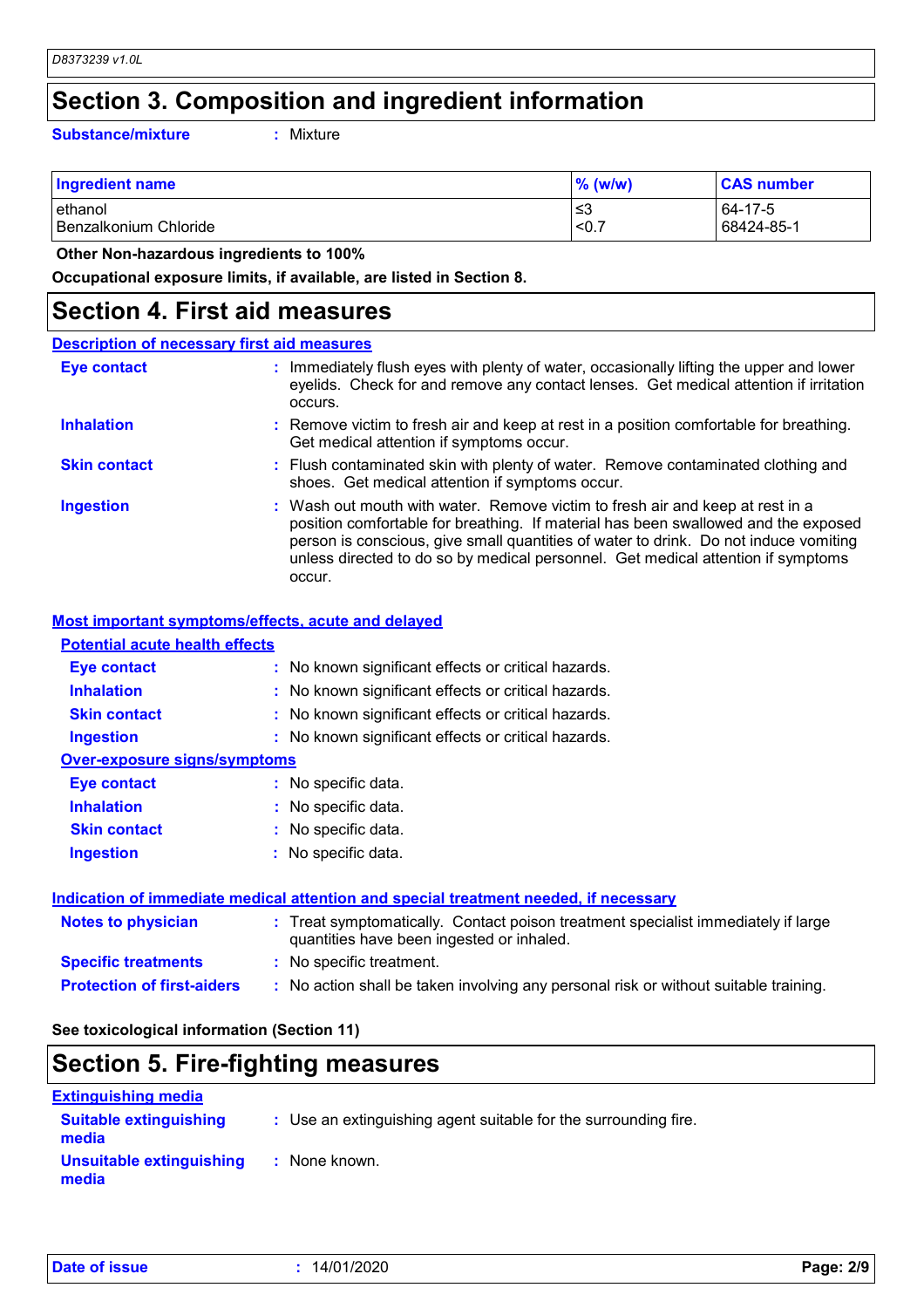# **Section 3. Composition and ingredient information**

**Substance/mixture :**

: Mixture

| <b>Ingredient name</b>  | $%$ (w/w) | <b>CAS number</b> |
|-------------------------|-----------|-------------------|
| ethanol                 | ≲3        | 64-17-5           |
| l Benzalkonium Chloride | < 0.      | 68424-85-1        |

 **Other Non-hazardous ingredients to 100%**

**Occupational exposure limits, if available, are listed in Section 8.**

### **Section 4. First aid measures**

| <b>Description of necessary first aid measures</b> |                                                                                                                                                                                                                                                                                                                                                           |
|----------------------------------------------------|-----------------------------------------------------------------------------------------------------------------------------------------------------------------------------------------------------------------------------------------------------------------------------------------------------------------------------------------------------------|
| <b>Eye contact</b>                                 | : Immediately flush eyes with plenty of water, occasionally lifting the upper and lower<br>eyelids. Check for and remove any contact lenses. Get medical attention if irritation<br>occurs.                                                                                                                                                               |
| <b>Inhalation</b>                                  | : Remove victim to fresh air and keep at rest in a position comfortable for breathing.<br>Get medical attention if symptoms occur.                                                                                                                                                                                                                        |
| <b>Skin contact</b>                                | : Flush contaminated skin with plenty of water. Remove contaminated clothing and<br>shoes. Get medical attention if symptoms occur.                                                                                                                                                                                                                       |
| <b>Ingestion</b>                                   | : Wash out mouth with water. Remove victim to fresh air and keep at rest in a<br>position comfortable for breathing. If material has been swallowed and the exposed<br>person is conscious, give small quantities of water to drink. Do not induce vomiting<br>unless directed to do so by medical personnel. Get medical attention if symptoms<br>occur. |

#### **Most important symptoms/effects, acute and delayed**

| <b>Potential acute health effects</b> |                                                     |
|---------------------------------------|-----------------------------------------------------|
| Eye contact                           | : No known significant effects or critical hazards. |
| <b>Inhalation</b>                     | : No known significant effects or critical hazards. |
| <b>Skin contact</b>                   | : No known significant effects or critical hazards. |
| <b>Ingestion</b>                      | : No known significant effects or critical hazards. |
| <b>Over-exposure signs/symptoms</b>   |                                                     |
| Eye contact                           | : No specific data.                                 |
| <b>Inhalation</b>                     | : No specific data.                                 |
| <b>Skin contact</b>                   | : No specific data.                                 |
| <b>Ingestion</b>                      | : No specific data.                                 |
|                                       |                                                     |

#### **Indication of immediate medical attention and special treatment needed, if necessary**

| <b>Notes to physician</b>         | : Treat symptomatically. Contact poison treatment specialist immediately if large<br>quantities have been ingested or inhaled. |
|-----------------------------------|--------------------------------------------------------------------------------------------------------------------------------|
| <b>Specific treatments</b>        | : No specific treatment.                                                                                                       |
| <b>Protection of first-aiders</b> | : No action shall be taken involving any personal risk or without suitable training.                                           |

#### **See toxicological information (Section 11)**

### **Section 5. Fire-fighting measures**

| <b>Extinguishing media</b>             |                                                                 |
|----------------------------------------|-----------------------------------------------------------------|
| <b>Suitable extinguishing</b><br>media | : Use an extinguishing agent suitable for the surrounding fire. |
| Unsuitable extinguishing<br>media      | : None known.                                                   |

|  |  |  | <b>Date of issue</b> |  |
|--|--|--|----------------------|--|
|--|--|--|----------------------|--|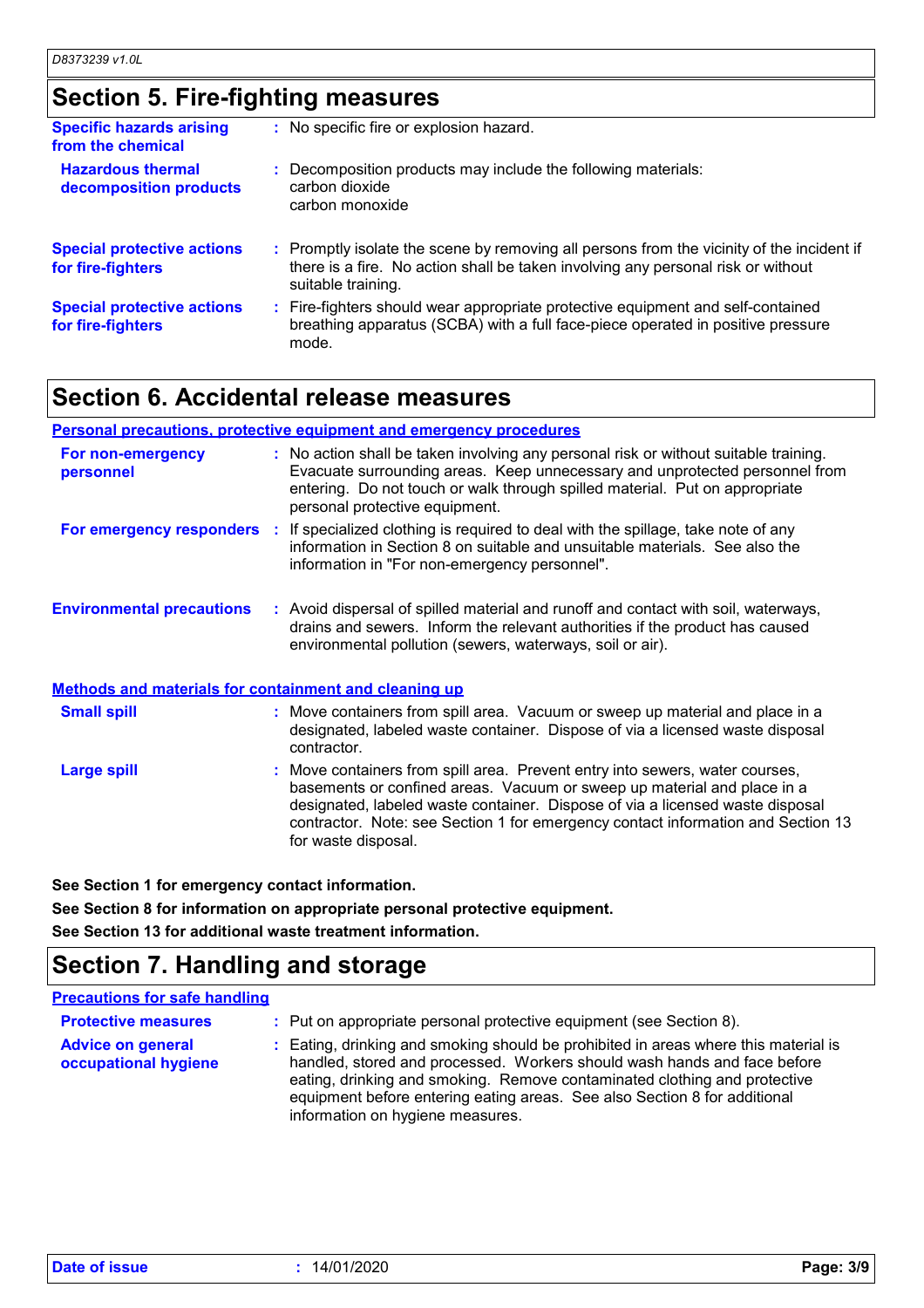# **Section 5. Fire-fighting measures**

| <b>Specific hazards arising</b><br>from the chemical   | : No specific fire or explosion hazard.                                                                                                                                                             |
|--------------------------------------------------------|-----------------------------------------------------------------------------------------------------------------------------------------------------------------------------------------------------|
| <b>Hazardous thermal</b><br>decomposition products     | : Decomposition products may include the following materials:<br>carbon dioxide<br>carbon monoxide                                                                                                  |
| <b>Special protective actions</b><br>for fire-fighters | : Promptly isolate the scene by removing all persons from the vicinity of the incident if<br>there is a fire. No action shall be taken involving any personal risk or without<br>suitable training. |
| <b>Special protective actions</b><br>for fire-fighters | : Fire-fighters should wear appropriate protective equipment and self-contained<br>breathing apparatus (SCBA) with a full face-piece operated in positive pressure<br>mode.                         |

### **Section 6. Accidental release measures**

#### **Personal precautions, protective equipment and emergency procedures**

| For non-emergency<br>personnel                               | : No action shall be taken involving any personal risk or without suitable training.<br>Evacuate surrounding areas. Keep unnecessary and unprotected personnel from<br>entering. Do not touch or walk through spilled material. Put on appropriate<br>personal protective equipment. |
|--------------------------------------------------------------|--------------------------------------------------------------------------------------------------------------------------------------------------------------------------------------------------------------------------------------------------------------------------------------|
| For emergency responders :                                   | If specialized clothing is required to deal with the spillage, take note of any<br>information in Section 8 on suitable and unsuitable materials. See also the<br>information in "For non-emergency personnel".                                                                      |
| <b>Environmental precautions</b>                             | : Avoid dispersal of spilled material and runoff and contact with soil, waterways,<br>drains and sewers. Inform the relevant authorities if the product has caused<br>environmental pollution (sewers, waterways, soil or air).                                                      |
| <b>Methods and materials for containment and cleaning up</b> |                                                                                                                                                                                                                                                                                      |

| <b>Small spill</b> | : Move containers from spill area. Vacuum or sweep up material and place in a<br>designated, labeled waste container. Dispose of via a licensed waste disposal<br>contractor.                                                                                                                                                                       |
|--------------------|-----------------------------------------------------------------------------------------------------------------------------------------------------------------------------------------------------------------------------------------------------------------------------------------------------------------------------------------------------|
| <b>Large spill</b> | : Move containers from spill area. Prevent entry into sewers, water courses,<br>basements or confined areas. Vacuum or sweep up material and place in a<br>designated, labeled waste container. Dispose of via a licensed waste disposal<br>contractor. Note: see Section 1 for emergency contact information and Section 13<br>for waste disposal. |

**See Section 1 for emergency contact information.**

**See Section 8 for information on appropriate personal protective equipment. See Section 13 for additional waste treatment information.**

### **Section 7. Handling and storage**

#### **Precautions for safe handling**

| <b>Protective measures</b>                       | : Put on appropriate personal protective equipment (see Section 8).                                                                                                                                                                                                                                                                                           |
|--------------------------------------------------|---------------------------------------------------------------------------------------------------------------------------------------------------------------------------------------------------------------------------------------------------------------------------------------------------------------------------------------------------------------|
| <b>Advice on general</b><br>occupational hygiene | : Eating, drinking and smoking should be prohibited in areas where this material is<br>handled, stored and processed. Workers should wash hands and face before<br>eating, drinking and smoking. Remove contaminated clothing and protective<br>equipment before entering eating areas. See also Section 8 for additional<br>information on hygiene measures. |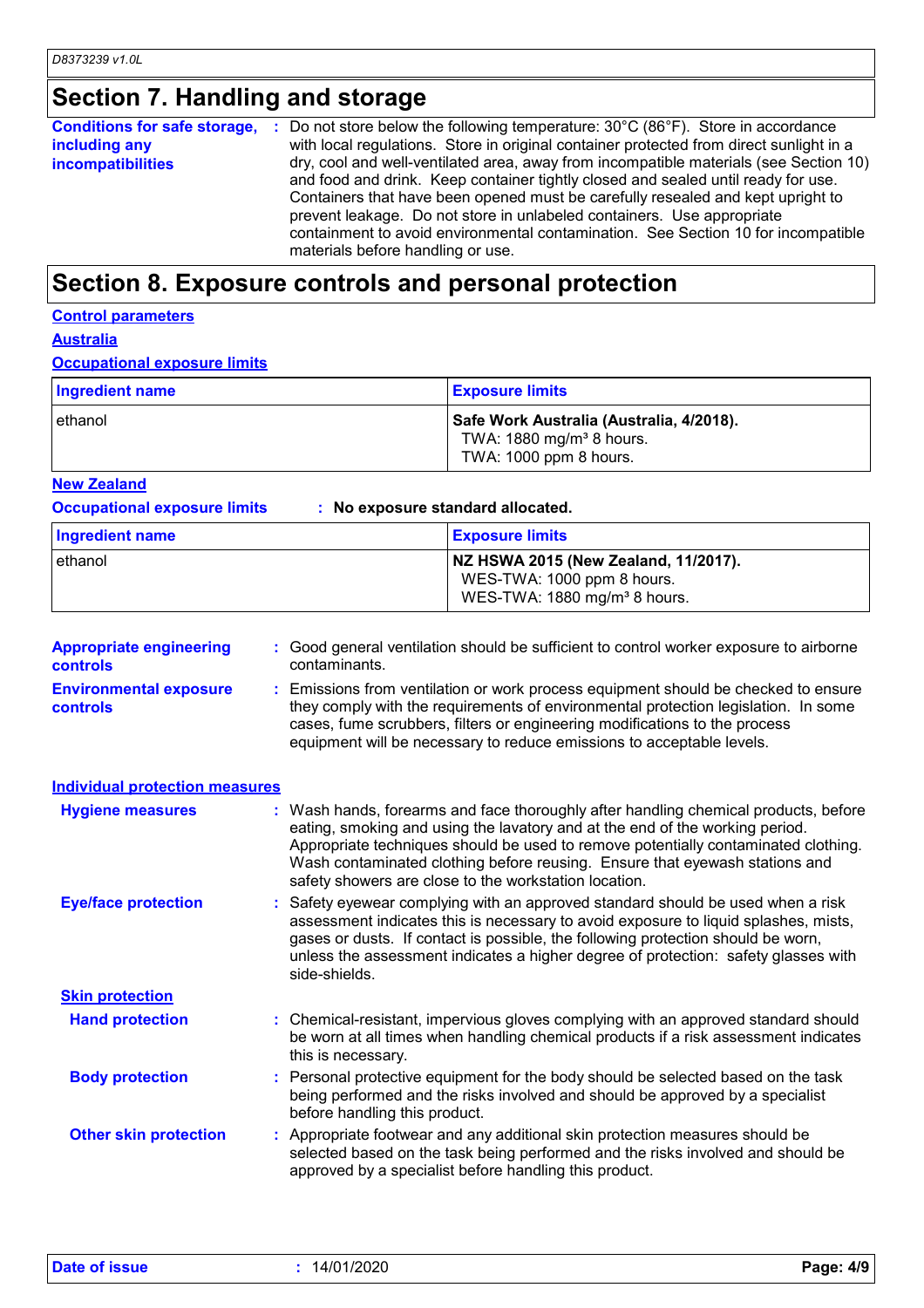# **Section 7. Handling and storage**

| Conditions for safe storage, : | Do not store below the following temperature: $30^{\circ}$ C (86 $^{\circ}$ F). Store in accordance                                                                                                                                                                                                                                                                                                                                                               |
|--------------------------------|-------------------------------------------------------------------------------------------------------------------------------------------------------------------------------------------------------------------------------------------------------------------------------------------------------------------------------------------------------------------------------------------------------------------------------------------------------------------|
| including any                  | with local regulations. Store in original container protected from direct sunlight in a                                                                                                                                                                                                                                                                                                                                                                           |
| <i>incompatibilities</i>       | dry, cool and well-ventilated area, away from incompatible materials (see Section 10)<br>and food and drink. Keep container tightly closed and sealed until ready for use.<br>Containers that have been opened must be carefully resealed and kept upright to<br>prevent leakage. Do not store in unlabeled containers. Use appropriate<br>containment to avoid environmental contamination. See Section 10 for incompatible<br>materials before handling or use. |

# **Section 8. Exposure controls and personal protection**

| <b>Control parameters</b> |
|---------------------------|
|                           |

**Australia**

**Occupational exposure limits**

| Ingredient name | <b>Exposure limits</b>                                                                                     |
|-----------------|------------------------------------------------------------------------------------------------------------|
| l ethanol       | Safe Work Australia (Australia, 4/2018).<br>TWA: 1880 mg/m <sup>3</sup> 8 hours.<br>TWA: 1000 ppm 8 hours. |

**New Zealand**

**Occupational exposure limits : No exposure standard allocated.**

| Ingredient name | <b>Exposure limits</b>                                                                                         |
|-----------------|----------------------------------------------------------------------------------------------------------------|
| ethanol         | NZ HSWA 2015 (New Zealand, 11/2017).<br>WES-TWA: 1000 ppm 8 hours.<br>WES-TWA: 1880 mg/m <sup>3</sup> 8 hours. |

| <b>Appropriate engineering</b><br>controls | : Good general ventilation should be sufficient to control worker exposure to airborne<br>contaminants.                                                                                                                                                                                                                                                                                           |
|--------------------------------------------|---------------------------------------------------------------------------------------------------------------------------------------------------------------------------------------------------------------------------------------------------------------------------------------------------------------------------------------------------------------------------------------------------|
| <b>Environmental exposure</b><br>controls  | : Emissions from ventilation or work process equipment should be checked to ensure<br>they comply with the requirements of environmental protection legislation. In some<br>cases, fume scrubbers, filters or engineering modifications to the process<br>equipment will be necessary to reduce emissions to acceptable levels.                                                                   |
| <b>Individual protection measures</b>      |                                                                                                                                                                                                                                                                                                                                                                                                   |
| <b>Hygiene measures</b>                    | : Wash hands, forearms and face thoroughly after handling chemical products, before<br>eating, smoking and using the lavatory and at the end of the working period.<br>Appropriate techniques should be used to remove potentially contaminated clothing.<br>Wash contaminated clothing before reusing. Ensure that eyewash stations and<br>safety showers are close to the workstation location. |
| <b>Eye/face protection</b>                 | : Safety eyewear complying with an approved standard should be used when a risk<br>assessment indicates this is necessary to avoid exposure to liquid splashes, mists,<br>gases or dusts. If contact is possible, the following protection should be worn,<br>unless the assessment indicates a higher degree of protection: safety glasses with<br>side-shields.                                 |
| <b>Skin protection</b>                     |                                                                                                                                                                                                                                                                                                                                                                                                   |
| <b>Hand protection</b>                     | : Chemical-resistant, impervious gloves complying with an approved standard should<br>be worn at all times when handling chemical products if a risk assessment indicates<br>this is necessary.                                                                                                                                                                                                   |
| <b>Body protection</b>                     | : Personal protective equipment for the body should be selected based on the task<br>being performed and the risks involved and should be approved by a specialist<br>before handling this product.                                                                                                                                                                                               |
| <b>Other skin protection</b>               | : Appropriate footwear and any additional skin protection measures should be<br>selected based on the task being performed and the risks involved and should be<br>approved by a specialist before handling this product.                                                                                                                                                                         |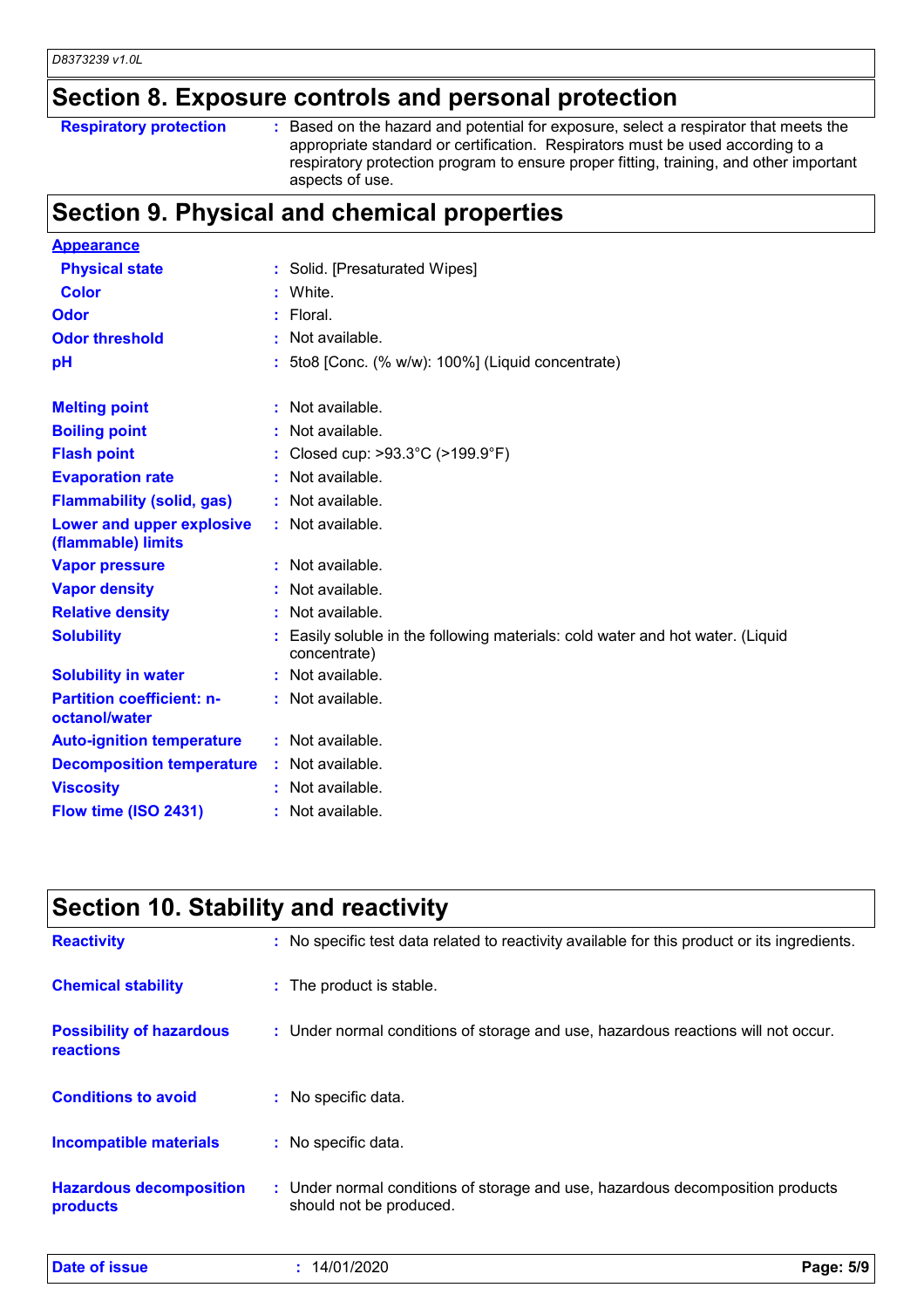### **Section 8. Exposure controls and personal protection**

- **Respiratory protection :**
- Based on the hazard and potential for exposure, select a respirator that meets the appropriate standard or certification. Respirators must be used according to a respiratory protection program to ensure proper fitting, training, and other important aspects of use.

# **Section 9. Physical and chemical properties**

| <b>Appearance</b>                                 |                                                                                              |
|---------------------------------------------------|----------------------------------------------------------------------------------------------|
| <b>Physical state</b>                             | : Solid. [Presaturated Wipes]                                                                |
| <b>Color</b>                                      | : White.                                                                                     |
| Odor                                              | $:$ Floral.                                                                                  |
| <b>Odor threshold</b>                             | $:$ Not available.                                                                           |
| pH                                                | : 5to8 [Conc. (% w/w): 100%] (Liquid concentrate)                                            |
| <b>Melting point</b>                              | Not available.                                                                               |
| <b>Boiling point</b>                              | : Not available.                                                                             |
| <b>Flash point</b>                                | Closed cup: >93.3°C (>199.9°F)                                                               |
| <b>Evaporation rate</b>                           | Not available.                                                                               |
| <b>Flammability (solid, gas)</b>                  | : Not available.                                                                             |
| Lower and upper explosive<br>(flammable) limits   | : Not available.                                                                             |
| <b>Vapor pressure</b>                             | $:$ Not available.                                                                           |
| <b>Vapor density</b>                              | Not available.                                                                               |
| <b>Relative density</b>                           | Not available.                                                                               |
| <b>Solubility</b>                                 | Easily soluble in the following materials: cold water and hot water. (Liquid<br>concentrate) |
| <b>Solubility in water</b>                        | : Not available.                                                                             |
| <b>Partition coefficient: n-</b><br>octanol/water | : Not available.                                                                             |
| <b>Auto-ignition temperature</b>                  | : Not available.                                                                             |
| <b>Decomposition temperature</b>                  | : Not available.                                                                             |
| <b>Viscosity</b>                                  | : Not available.                                                                             |
| Flow time (ISO 2431)                              | Not available.                                                                               |

| Section 10. Stability and reactivity                |                                                                                                           |  |  |
|-----------------------------------------------------|-----------------------------------------------------------------------------------------------------------|--|--|
| <b>Reactivity</b>                                   | : No specific test data related to reactivity available for this product or its ingredients.              |  |  |
| <b>Chemical stability</b>                           | : The product is stable.                                                                                  |  |  |
| <b>Possibility of hazardous</b><br><b>reactions</b> | : Under normal conditions of storage and use, hazardous reactions will not occur.                         |  |  |
| <b>Conditions to avoid</b>                          | : No specific data.                                                                                       |  |  |
| <b>Incompatible materials</b>                       | : No specific data.                                                                                       |  |  |
| <b>Hazardous decomposition</b><br>products          | : Under normal conditions of storage and use, hazardous decomposition products<br>should not be produced. |  |  |

| <b>Date of issue</b> | 14/01/2020 | Page: 5/9 |  |
|----------------------|------------|-----------|--|
|                      |            |           |  |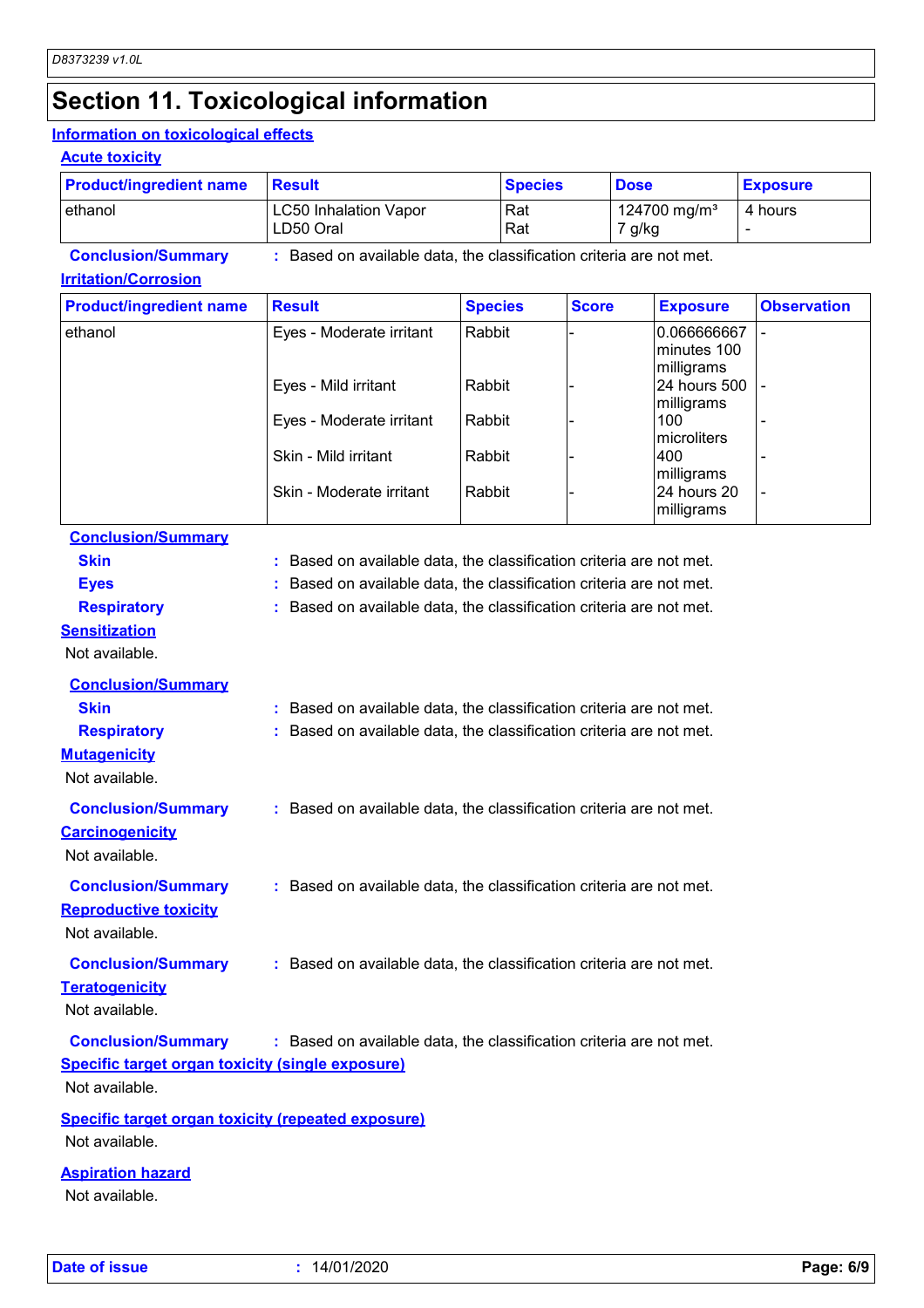# **Section 11. Toxicological information**

#### **Information on toxicological effects**

#### **Acute toxicity**

| <b>Product/ingredient name</b> | <b>Result</b>                                                     | <b>Species</b> | <b>Dose</b>                        | <b>Exposure</b> |
|--------------------------------|-------------------------------------------------------------------|----------------|------------------------------------|-----------------|
| lethanol                       | <b>LC50 Inhalation Vapor</b><br>LD50 Oral                         | l Rat<br>l Rat | 124700 mg/m <sup>3</sup><br>7 g/kg | 4 hours         |
| <b>Conclusion/Summary</b>      | Based on available data, the classification criteria are not met. |                |                                    |                 |

#### **Irritation/Corrosion**

| <b>Product/ingredient name</b> | <b>Result</b>            | <b>Species</b> | <b>Score</b> | <b>Exposure</b>                          | <b>Observation</b>       |
|--------------------------------|--------------------------|----------------|--------------|------------------------------------------|--------------------------|
| ethanol                        | Eyes - Moderate irritant | Rabbit         |              | 0.066666667<br>minutes 100<br>milligrams |                          |
|                                | Eyes - Mild irritant     | Rabbit         |              | 24 hours 500<br>milligrams               |                          |
|                                | Eyes - Moderate irritant | Rabbit         |              | 100<br>microliters                       |                          |
|                                | Skin - Mild irritant     | Rabbit         |              | 400<br>milligrams                        |                          |
|                                | Skin - Moderate irritant | Rabbit         |              | I24 hours 20<br>milligrams               | $\overline{\phantom{0}}$ |

### **Conclusion/Summary**

| <b>Skin</b>                                               | Based on available data, the classification criteria are not met.   |
|-----------------------------------------------------------|---------------------------------------------------------------------|
| <b>Eyes</b>                                               | Based on available data, the classification criteria are not met.   |
| <b>Respiratory</b>                                        | : Based on available data, the classification criteria are not met. |
| <b>Sensitization</b>                                      |                                                                     |
| Not available.                                            |                                                                     |
| <b>Conclusion/Summary</b>                                 |                                                                     |
| <b>Skin</b>                                               | : Based on available data, the classification criteria are not met. |
| <b>Respiratory</b>                                        | : Based on available data, the classification criteria are not met. |
| <b>Mutagenicity</b>                                       |                                                                     |
| Not available.                                            |                                                                     |
| <b>Conclusion/Summary</b>                                 | : Based on available data, the classification criteria are not met. |
| <b>Carcinogenicity</b>                                    |                                                                     |
| Not available.                                            |                                                                     |
|                                                           |                                                                     |
| <b>Conclusion/Summary</b>                                 | : Based on available data, the classification criteria are not met. |
| <b>Reproductive toxicity</b><br>Not available.            |                                                                     |
|                                                           |                                                                     |
| <b>Conclusion/Summary</b>                                 | : Based on available data, the classification criteria are not met. |
| <b>Teratogenicity</b>                                     |                                                                     |
| Not available.                                            |                                                                     |
| <b>Conclusion/Summary</b>                                 | : Based on available data, the classification criteria are not met. |
| <b>Specific target organ toxicity (single exposure)</b>   |                                                                     |
| Not available.                                            |                                                                     |
| <b>Specific target organ toxicity (repeated exposure)</b> |                                                                     |
| Not available.                                            |                                                                     |
|                                                           |                                                                     |

#### **Aspiration hazard**

Not available.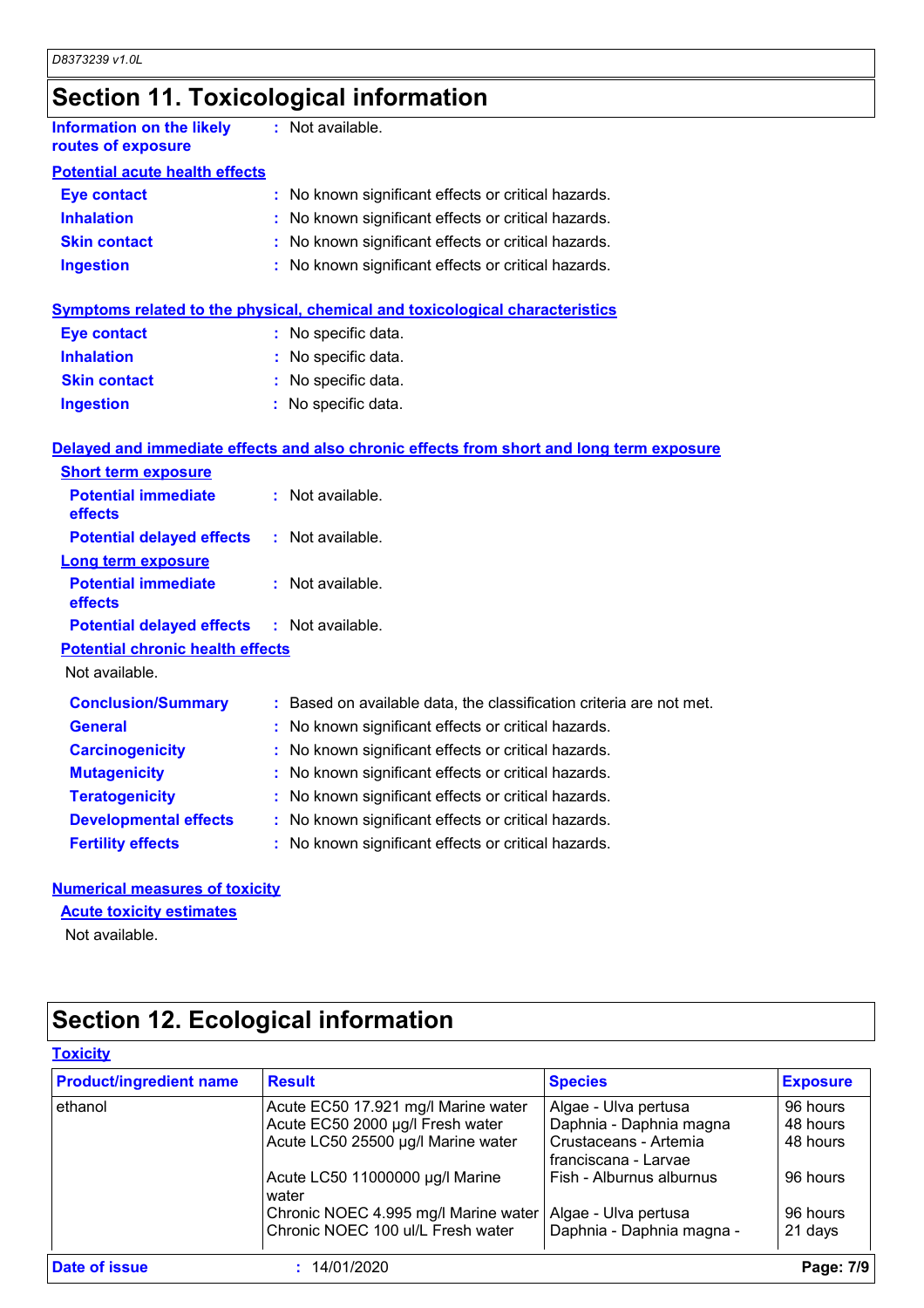### **Section 11. Toxicological information**

| <b>Information on the likely</b><br>routes of exposure | : Not available.                                                                         |
|--------------------------------------------------------|------------------------------------------------------------------------------------------|
| <b>Potential acute health effects</b>                  |                                                                                          |
| <b>Eye contact</b>                                     | : No known significant effects or critical hazards.                                      |
| <b>Inhalation</b>                                      | : No known significant effects or critical hazards.                                      |
| <b>Skin contact</b>                                    | : No known significant effects or critical hazards.                                      |
| <b>Ingestion</b>                                       | : No known significant effects or critical hazards.                                      |
|                                                        | <b>Symptoms related to the physical, chemical and toxicological characteristics</b>      |
| <b>Eye contact</b>                                     | : No specific data.                                                                      |
| <b>Inhalation</b>                                      | : No specific data.                                                                      |
| <b>Skin contact</b>                                    | : No specific data.                                                                      |
| <b>Ingestion</b>                                       | : No specific data.                                                                      |
|                                                        | Delayed and immediate effects and also chronic effects from short and long term exposure |
| <b>Short term exposure</b>                             |                                                                                          |
| <b>Potential immediate</b><br>effects                  | : Not available.                                                                         |
| <b>Potential delayed effects</b>                       | : Not available.                                                                         |
| <b>Long term exposure</b>                              |                                                                                          |
| <b>Potential immediate</b><br>effects                  | : Not available.                                                                         |
| <b>Potential delayed effects</b>                       | : Not available.                                                                         |
| <b>Potential chronic health effects</b>                |                                                                                          |
| Not available.                                         |                                                                                          |
| <b>Conclusion/Summary</b>                              | : Based on available data, the classification criteria are not met.                      |
| <b>General</b>                                         | No known significant effects or critical hazards.                                        |
| <b>Carcinogenicity</b>                                 | : No known significant effects or critical hazards.                                      |
| <b>Mutagenicity</b>                                    | No known significant effects or critical hazards.                                        |
| <b>Teratogenicity</b>                                  | : No known significant effects or critical hazards.                                      |
| <b>Developmental effects</b>                           | : No known significant effects or critical hazards.                                      |
| <b>Fertility effects</b>                               | : No known significant effects or critical hazards.                                      |

#### **Numerical measures of toxicity**

#### **Acute toxicity estimates**

Not available.

# **Section 12. Ecological information**

| <b>Product/ingredient name</b> | <b>Result</b>                            | <b>Species</b>                                | <b>Exposure</b> |
|--------------------------------|------------------------------------------|-----------------------------------------------|-----------------|
| ethanol                        | Acute EC50 17.921 mg/l Marine water      | Algae - Ulva pertusa                          | 96 hours        |
|                                | Acute EC50 2000 µg/l Fresh water         | Daphnia - Daphnia magna                       | 48 hours        |
|                                | Acute LC50 25500 µg/l Marine water       | Crustaceans - Artemia<br>franciscana - Larvae | 48 hours        |
|                                | Acute LC50 11000000 µg/l Marine<br>water | Fish - Alburnus alburnus                      | 96 hours        |
|                                | Chronic NOEC 4.995 mg/l Marine water     | Algae - Ulva pertusa                          | 96 hours        |
|                                | Chronic NOEC 100 ul/L Fresh water        | Daphnia - Daphnia magna -                     | 21 days         |
| Date of issue                  | : 14/01/2020                             |                                               | Page: 7/9       |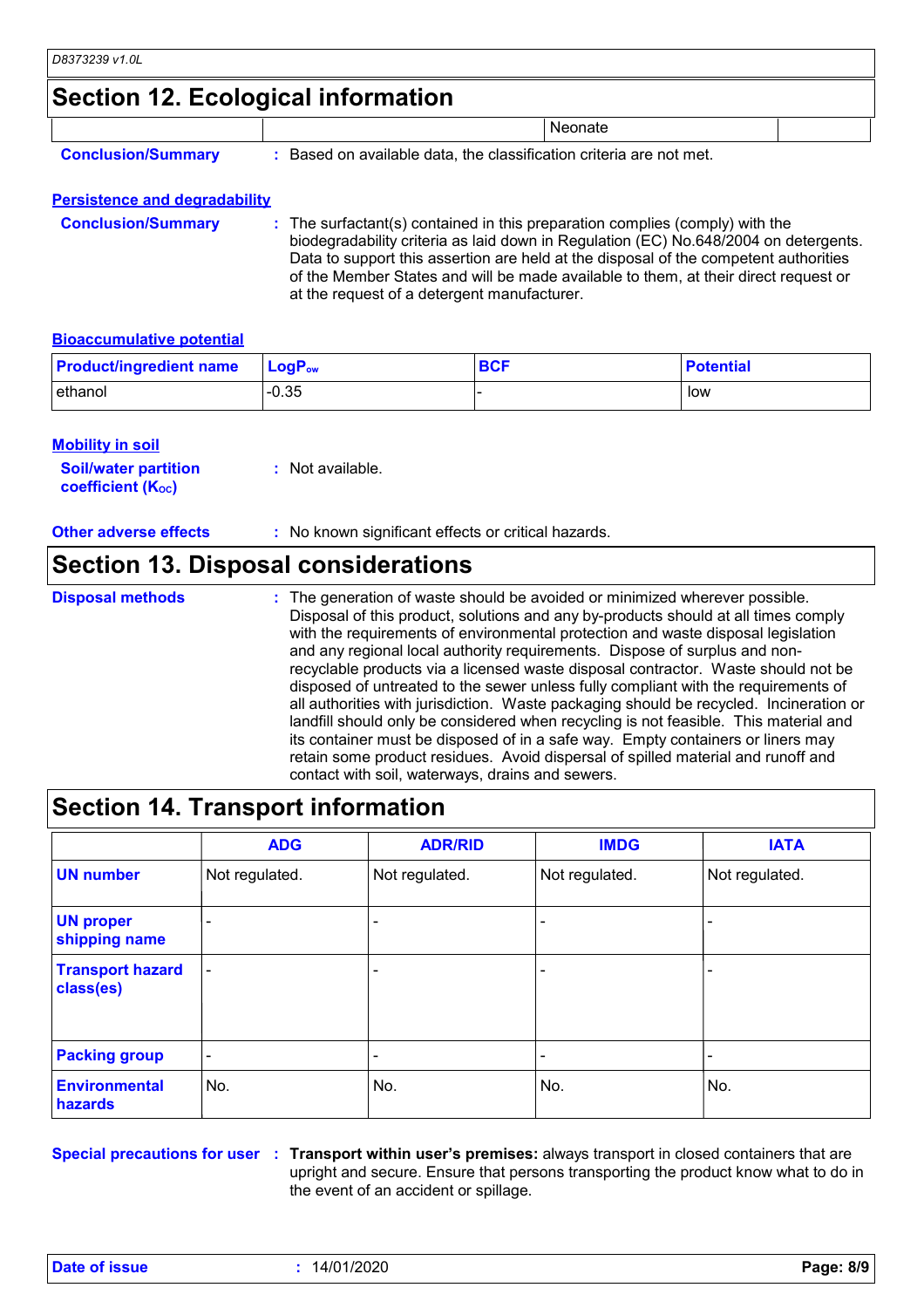### **Section 12. Ecological information**

|                           | $\sim$                                                            |                |  |
|---------------------------|-------------------------------------------------------------------|----------------|--|
|                           |                                                                   | <b>Neonate</b> |  |
| <b>Conclusion/Summary</b> | Based on available data, the classification criteria are not met. |                |  |

#### **Persistence and degradability**

**Conclusion/Summary :** The surfactant(s) contained in this preparation complies (comply) with the biodegradability criteria as laid down in Regulation (EC) No.648/2004 on detergents. Data to support this assertion are held at the disposal of the competent authorities of the Member States and will be made available to them, at their direct request or at the request of a detergent manufacturer.

#### **Bioaccumulative potential**

| <b>Product/ingredient name</b> | $\mathsf{LogP}_\mathsf{ow}$ | <b>BCF</b> | <b>Potential</b> |
|--------------------------------|-----------------------------|------------|------------------|
| ethanol                        | $-0.35$                     |            | low              |

| <b>Mobility in soil</b>                                 |                  |
|---------------------------------------------------------|------------------|
| <b>Soil/water partition</b><br><b>coefficient (Koc)</b> | : Not available. |

**Other adverse effects** : No known significant effects or critical hazards.

### **Section 13. Disposal considerations**

The generation of waste should be avoided or minimized wherever possible. Disposal of this product, solutions and any by-products should at all times comply with the requirements of environmental protection and waste disposal legislation and any regional local authority requirements. Dispose of surplus and nonrecyclable products via a licensed waste disposal contractor. Waste should not be disposed of untreated to the sewer unless fully compliant with the requirements of all authorities with jurisdiction. Waste packaging should be recycled. Incineration or landfill should only be considered when recycling is not feasible. This material and its container must be disposed of in a safe way. Empty containers or liners may retain some product residues. Avoid dispersal of spilled material and runoff and contact with soil, waterways, drains and sewers. **Disposal methods :**

### **Section 14. Transport information**

|                                      | <b>ADG</b>               | <b>ADR/RID</b> | <b>IMDG</b>    | <b>IATA</b>    |
|--------------------------------------|--------------------------|----------------|----------------|----------------|
| <b>UN number</b>                     | Not regulated.           | Not regulated. | Not regulated. | Not regulated. |
| <b>UN proper</b><br>shipping name    |                          |                |                |                |
| <b>Transport hazard</b><br>class(es) | $\overline{\phantom{a}}$ |                | -              |                |
| <b>Packing group</b>                 | $\overline{\phantom{a}}$ | -              | ٠              |                |
| <b>Environmental</b><br>hazards      | No.                      | No.            | No.            | No.            |

**Special precautions for user Transport within user's premises:** always transport in closed containers that are **:** upright and secure. Ensure that persons transporting the product know what to do in the event of an accident or spillage.

**Date of issue :** 14/01/2020 **Page: 8/9**